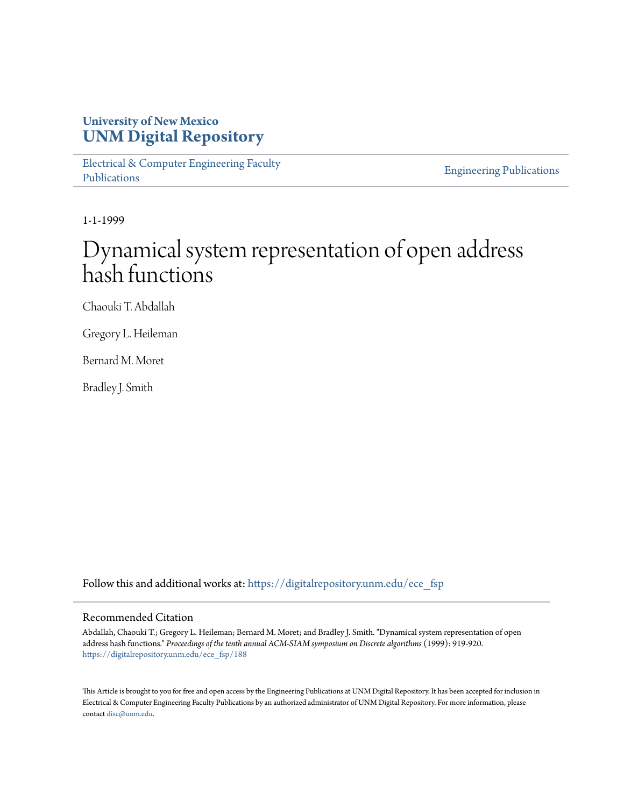# **University of New Mexico [UNM Digital Repository](https://digitalrepository.unm.edu?utm_source=digitalrepository.unm.edu%2Fece_fsp%2F188&utm_medium=PDF&utm_campaign=PDFCoverPages)**

[Electrical & Computer Engineering Faculty](https://digitalrepository.unm.edu/ece_fsp?utm_source=digitalrepository.unm.edu%2Fece_fsp%2F188&utm_medium=PDF&utm_campaign=PDFCoverPages) [Publications](https://digitalrepository.unm.edu/ece_fsp?utm_source=digitalrepository.unm.edu%2Fece_fsp%2F188&utm_medium=PDF&utm_campaign=PDFCoverPages)

[Engineering Publications](https://digitalrepository.unm.edu/eng_fsp?utm_source=digitalrepository.unm.edu%2Fece_fsp%2F188&utm_medium=PDF&utm_campaign=PDFCoverPages)

1-1-1999

# Dynamical system representation of open address hash functions

Chaouki T. Abdallah

Gregory L. Heileman

Bernard M. Moret

Bradley J. Smith

Follow this and additional works at: [https://digitalrepository.unm.edu/ece\\_fsp](https://digitalrepository.unm.edu/ece_fsp?utm_source=digitalrepository.unm.edu%2Fece_fsp%2F188&utm_medium=PDF&utm_campaign=PDFCoverPages)

## Recommended Citation

Abdallah, Chaouki T.; Gregory L. Heileman; Bernard M. Moret; and Bradley J. Smith. "Dynamical system representation of open address hash functions." *Proceedings of the tenth annual ACM-SIAM symposium on Discrete algorithms* (1999): 919-920. [https://digitalrepository.unm.edu/ece\\_fsp/188](https://digitalrepository.unm.edu/ece_fsp/188?utm_source=digitalrepository.unm.edu%2Fece_fsp%2F188&utm_medium=PDF&utm_campaign=PDFCoverPages)

This Article is brought to you for free and open access by the Engineering Publications at UNM Digital Repository. It has been accepted for inclusion in Electrical & Computer Engineering Faculty Publications by an authorized administrator of UNM Digital Repository. For more information, please contact [disc@unm.edu.](mailto:disc@unm.edu)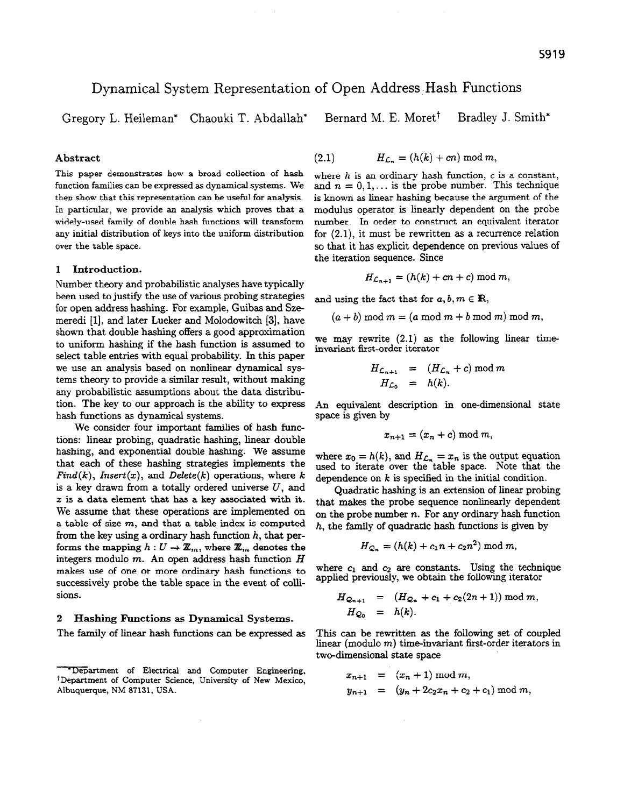# Dynamical System Representation of Open Address ,Hash Functions

Gregory L. Heileman\* Chaouki T. Abdallah\* Bernard M. E. Moret<sup>†</sup> Bradley J. Smith\*

#### Abstract

This paper demonstrates how a broad collection of hash function families can be expressed as dynamical systems. We then show that this representation can be useful for analysis. In particular, we provide an analysis which proves that a widely-used family of double hash functions will transform any initial distribution of keys into the uniform distribution over the table space.

## 1 Introduction.

Number theory and probabilistic analyses have typically been used to justify the use of various probing strategies for open address hashing. For example, Guibas and Szemeredi [l], and later Lueker and Molodowitch [3], have shown that double hashing offers a good approximation to uniform hashing if the hash function is assumed to select table entries with equal probability. In this paper we use an analysis based on nonlinear dynamical systems theory to provide a similar result, without making any probabilistic assumptions about the data distribution. The key to our approach is the ability to express hash functions as dynamical systems.

We consider four important families of hash functions: linear probing, quadratic hashing, linear double hashing, and exponential double hashing. We assume that each of these hashing strategies implements the  $Find(k), Insert(x), and Delete(k) operations, where k$ is a key drawn from a totally ordered universe  $U$ , and  $x$  is a data element that has a key associated with it. We assume that these operations are implemented on a table of size  $m$ , and that a table index is computed from the key using a ordinary hash function  $h$ , that performs the mapping  $h: U \to \mathbb{Z}_m$ , where  $\mathbb{Z}_m$  denotes the integers modulo  $m$ . An open address hash function  $H$ makes use of one or more ordinary hash functions to successively probe the table space in the event of collisions.

#### 2 Hashing Functions as Dynamical Systems.

The family of linear hash functions can be expressed as

$$
(2.1) \t\t\t H_{\mathcal{L}_n} = (h(k) + cn) \bmod m,
$$

where  $h$  is an ordinary hash function,  $c$  is a constant, and  $n = 0, 1, \ldots$  is the probe number. This technique is known as linear hashing because the argument of the modulus operator is linearly dependent on the probe number. In order to construct an equivalent iterator for  $(2.1)$ , it must be rewritten as a recurrence relation so that it has explicit dependence on previous values of the iteration sequence. Since

 $H_{\mathcal{L}_{n+1}} = (h(k) + cn + c) \bmod m,$ 

and using the fact that for  $a, b, m \in \mathbb{R}$ ,

$$
(a + b) \bmod m = (a \bmod m + b \bmod m) \bmod m,
$$

we may rewrite (2.1) as the following linear timeinvariant first-order iterator

$$
H_{\mathcal{L}_{n+1}} = (H_{\mathcal{L}_n} + c) \mod m
$$
  

$$
H_{\mathcal{L}_0} = h(k).
$$

An equivalent description in one-dimensional state space is given by

$$
x_{n+1}=(x_n+c) \bmod m,
$$

where  $x_0 = h(k)$ , and  $H_{\mathcal{L}_n} = x_n$  is the output equation used to iterate over the table space. Note that the dependence on  $k$  is specified in the initial condition.

Quadratic hashing is an extension of linear probing that makes the probe sequence nonlinearly dependent on the probe number  $n$ . For any ordinary hash function  $h$ , the family of quadratic hash functions is given by

$$
H_{Q_n} = (h(k) + c_1 n + c_2 n^2) \bmod m,
$$

where  $c_1$  and  $c_2$  are constants. Using the technique applied previously, we obtain the following iterator

$$
H_{Q_{n+1}} = (H_{Q_n} + c_1 + c_2(2n+1)) \bmod m,
$$
  
\n
$$
H_{Q_0} = h(k).
$$

This can be rewritten as the following set of coupled linear (modulo m) time-invariant first-order iterators in two-dimensional state space

$$
x_{n+1} = (x_n + 1) \mod m,
$$
  
\n
$$
y_{n+1} = (y_n + 2c_2x_n + c_2 + c_1) \mod m,
$$

<sup>\*</sup>Department of Electrical and Computer Engineering, +Department of Computer Science, University of New Mexico, Albuquerque, NM 87131, USA.